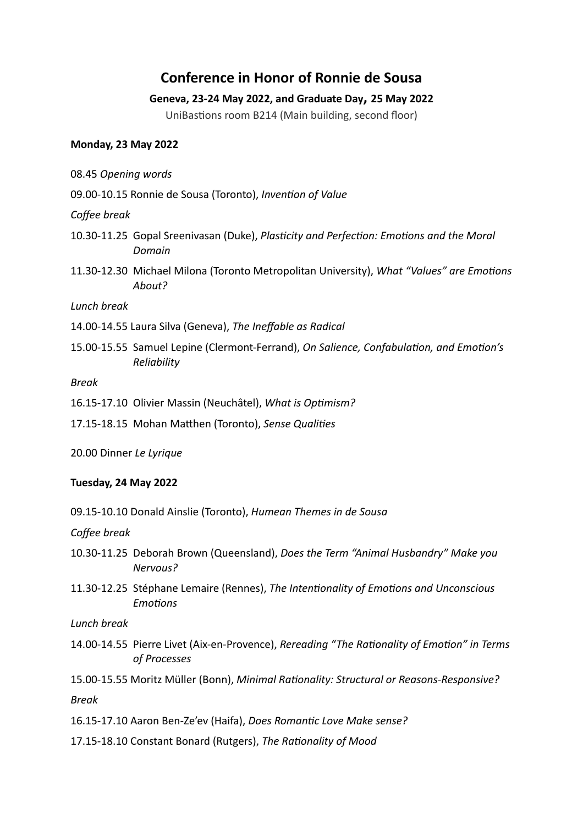# **Conference in Honor of Ronnie de Sousa**

## **Geneva, 23-24 May 2022, and Graduate Day, 25 May 2022**

UniBastions room B214 (Main building, second floor)

#### **Monday, 23 May 2022**

- 08.45 *Opening words*
- 09.00-10.15 Ronnie de Sousa (Toronto), *Invention of Value*

#### *Coffee break*

- 10.30-11.25 Gopal Sreenivasan (Duke), *Plasticity and Perfection: Emotions and the Moral Domain*
- 11.30-12.30 Michael Milona (Toronto Metropolitan University), *What "Values" are Emo/ons About?*

#### *Lunch break*

- 14.00-14.55 Laura Silva (Geneva), *The Ineffable as Radical*
- 15.00-15.55 Samuel Lepine (Clermont-Ferrand), *On Salience, Confabulation, and Emotion's Reliability*

#### *Break*

- 16.15-17.10 Olivier Massin (Neuchâtel), What is Optimism?
- 17.15-18.15 Mohan Matthen (Toronto), *Sense Qualities*
- 20.00 Dinner *Le Lyrique*

## **Tuesday, 24 May 2022**

09.15-10.10 Donald Ainslie (Toronto), *Humean Themes in de Sousa*

*Coffee break* 

- 10.30-11.25 Deborah Brown (Queensland), *Does the Term "Animal Husbandry" Make you Nervous?*
- 11.30-12.25 Stéphane Lemaire (Rennes), *The Inten/onality of Emo/ons and Unconscious Emotions*

*Lunch break* 

14.00-14.55 Pierre Livet (Aix-en-Provence), *Rereading "The Rationality of Emotion" in Terms of Processes*

15.00-15.55 Moritz Müller (Bonn), *Minimal Rationality: Structural or Reasons-Responsive? Break* 

- 16.15-17.10 Aaron Ben-Ze'ev (Haifa), *Does Romantic Love Make sense*?
- 17.15-18.10 Constant Bonard (Rutgers), *The Rationality of Mood*